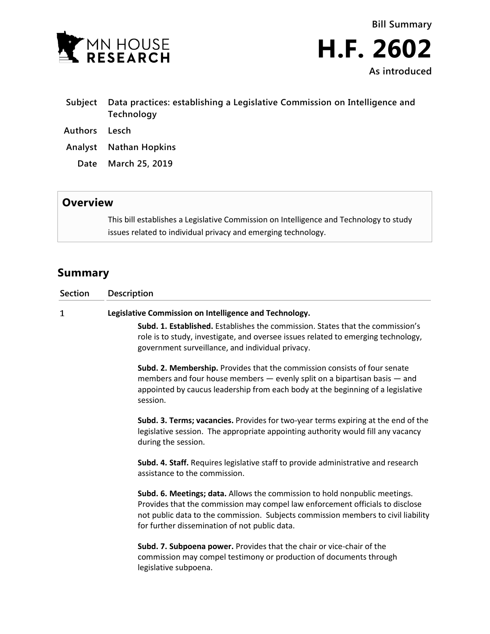



- **Subject Data practices: establishing a Legislative Commission on Intelligence and Technology**
- **Authors Lesch**
- **Analyst Nathan Hopkins**
	- **Date March 25, 2019**

## **Overview**

This bill establishes a Legislative Commission on Intelligence and Technology to study issues related to individual privacy and emerging technology.

## **Summary**

| <b>Section</b> | <b>Description</b>                                                                                                                                                                                                                                                                                |
|----------------|---------------------------------------------------------------------------------------------------------------------------------------------------------------------------------------------------------------------------------------------------------------------------------------------------|
| 1              | Legislative Commission on Intelligence and Technology.                                                                                                                                                                                                                                            |
|                | <b>Subd. 1. Established.</b> Establishes the commission. States that the commission's<br>role is to study, investigate, and oversee issues related to emerging technology,<br>government surveillance, and individual privacy.                                                                    |
|                | Subd. 2. Membership. Provides that the commission consists of four senate<br>members and four house members - evenly split on a bipartisan basis - and<br>appointed by caucus leadership from each body at the beginning of a legislative<br>session.                                             |
|                | Subd. 3. Terms; vacancies. Provides for two-year terms expiring at the end of the<br>legislative session. The appropriate appointing authority would fill any vacancy<br>during the session.                                                                                                      |
|                | Subd. 4. Staff. Requires legislative staff to provide administrative and research<br>assistance to the commission.                                                                                                                                                                                |
|                | Subd. 6. Meetings; data. Allows the commission to hold nonpublic meetings.<br>Provides that the commission may compel law enforcement officials to disclose<br>not public data to the commission. Subjects commission members to civil liability<br>for further dissemination of not public data. |
|                | Subd. 7. Subpoena power. Provides that the chair or vice-chair of the<br>commission may compel testimony or production of documents through<br>legislative subpoena.                                                                                                                              |